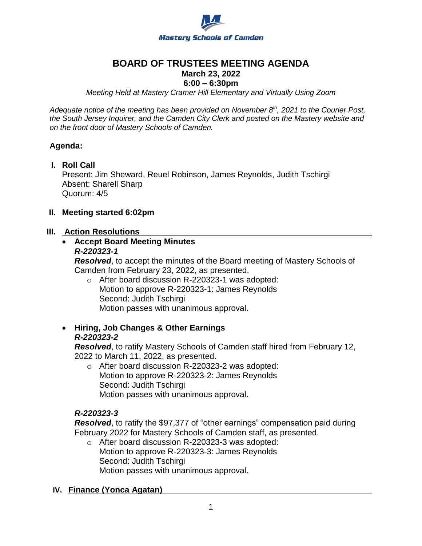

# **BOARD OF TRUSTEES MEETING AGENDA**

# **March 23, 2022**

# **6:00 – 6:30pm**

*Meeting Held at Mastery Cramer Hill Elementary and Virtually Using Zoom*

*Adequate notice of the meeting has been provided on November 8th, 2021 to the Courier Post, the South Jersey Inquirer, and the Camden City Clerk and posted on the Mastery website and on the front door of Mastery Schools of Camden.*

## **Agenda:**

**I. Roll Call**

Present: Jim Sheward, Reuel Robinson, James Reynolds, Judith Tschirgi Absent: Sharell Sharp Quorum: 4/5

# **II. Meeting started 6:02pm**

## **III. Action Resolutions**

#### **Accept Board Meeting Minutes** *R-220323-1*

*Resolved*, to accept the minutes of the Board meeting of Mastery Schools of Camden from February 23, 2022, as presented.

- o After board discussion R-220323-1 was adopted: Motion to approve R-220323-1: James Reynolds Second: Judith Tschirgi Motion passes with unanimous approval.
- **Hiring, Job Changes & Other Earnings**  *R-220323-2*

*Resolved*, to ratify Mastery Schools of Camden staff hired from February 12, 2022 to March 11, 2022, as presented.

o After board discussion R-220323-2 was adopted: Motion to approve R-220323-2: James Reynolds Second: Judith Tschirgi Motion passes with unanimous approval.

# *R-220323-3*

*Resolved*, to ratify the \$97,377 of "other earnings" compensation paid during February 2022 for Mastery Schools of Camden staff, as presented.

o After board discussion R-220323-3 was adopted: Motion to approve R-220323-3: James Reynolds Second: Judith Tschirgi Motion passes with unanimous approval.

## **IV. Finance (Yonca Agatan)**